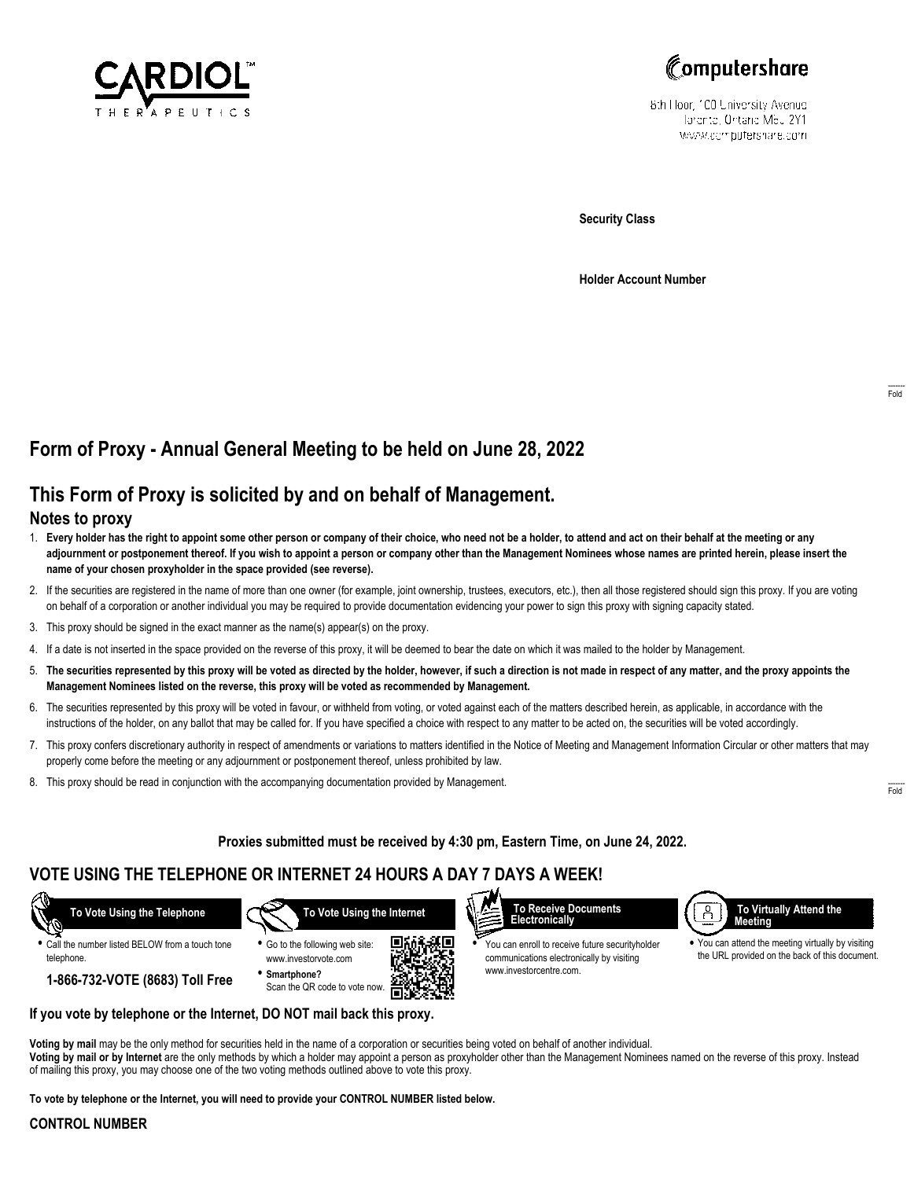



8th Hoor, 100 University Avenue Tatente, Ontario Meu 2Y1 www.computershare.com

**Security Class**

**Holder Account Number**

# **Form of Proxy - Annual General Meeting to be held on June 28, 2022**

# **This Form of Proxy is solicited by and on behalf of Management.**

### **Notes to proxy**

- 1. **Every holder has the right to appoint some other person or company of their choice, who need not be a holder, to attend and act on their behalf at the meeting or any adjournment or postponement thereof. If you wish to appoint a person or company other than the Management Nominees whose names are printed herein, please insert the name of your chosen proxyholder in the space provided (see reverse).**
- 2. If the securities are registered in the name of more than one owner (for example, joint ownership, trustees, executors, etc.), then all those registered should sign this proxy. If you are voting on behalf of a corporation or another individual you may be required to provide documentation evidencing your power to sign this proxy with signing capacity stated.
- 3. This proxy should be signed in the exact manner as the name(s) appear(s) on the proxy.
- 4. If a date is not inserted in the space provided on the reverse of this proxy, it will be deemed to bear the date on which it was mailed to the holder by Management.
- 5. **The securities represented by this proxy will be voted as directed by the holder, however, if such a direction is not made in respect of any matter, and the proxy appoints the Management Nominees listed on the reverse, this proxy will be voted as recommended by Management.**
- 6. The securities represented by this proxy will be voted in favour, or withheld from voting, or voted against each of the matters described herein, as applicable, in accordance with the instructions of the holder, on any ballot that may be called for. If you have specified a choice with respect to any matter to be acted on, the securities will be voted accordingly.
- 7. This proxy confers discretionary authority in respect of amendments or variations to matters identified in the Notice of Meeting and Management Information Circular or other matters that may properly come before the meeting or any adjournment or postponement thereof, unless prohibited by law.
- 8. This proxy should be read in conjunction with the accompanying documentation provided by Management.

### **Proxies submitted must be received by 4:30 pm, Eastern Time, on June 24, 2022.**

## **VOTE USING THE TELEPHONE OR INTERNET 24 HOURS A DAY 7 DAYS A WEEK!**



**•** Call the number listed BELOW from a touch tone telephone.

 **To Vote Using the Internet**



**1-866-732-VOTE (8683) Toll Free**



**•** You can enroll to receive future securityholder communications electronically by visiting www.investorcentre.com.



**•** You can attend the meeting virtually by visiting the URL provided on the back of this document.

**If you vote by telephone or the Internet, DO NOT mail back this proxy.**

**Voting by mail** may be the only method for securities held in the name of a corporation or securities being voted on behalf of another individual. **Voting by mail or by Internet** are the only methods by which a holder may appoint a person as proxyholder other than the Management Nominees named on the reverse of this proxy. Instead of mailing this proxy, you may choose one of the two voting methods outlined above to vote this proxy.

**To vote by telephone or the Internet, you will need to provide your CONTROL NUMBER listed below.**

#### **CONTROL NUMBER**